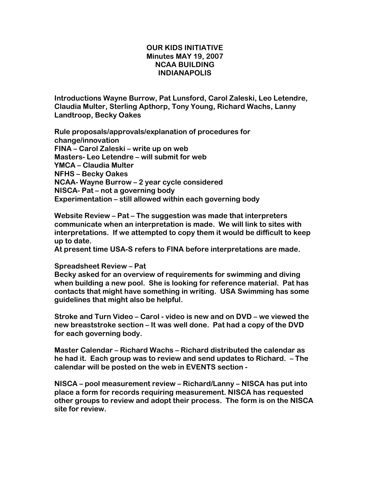## OUR KIDS INITIATIVE Minutes MAY 19, 2007 NCAA BUILDING INDIANAPOLIS

Introductions Wayne Burrow, Pat Lunsford, Carol Zaleski, Leo Letendre, Claudia Multer, Sterling Apthorp, Tony Young, Richard Wachs, Lanny Landtroop, Becky Oakes

Rule proposals/approvals/explanation of procedures for change/innovation FINA – Carol Zaleski – write up on web Masters- Leo Letendre – will submit for web YMCA – Claudia Multer NFHS – Becky Oakes NCAA- Wayne Burrow – 2 year cycle considered NISCA- Pat – not a governing body Experimentation – still allowed within each governing body

Website Review – Pat – The suggestion was made that interpreters communicate when an interpretation is made. We will link to sites with interpretations. If we attempted to copy them it would be difficult to keep up to date.

At present time USA-S refers to FINA before interpretations are made.

## Spreadsheet Review – Pat

Becky asked for an overview of requirements for swimming and diving when building a new pool. She is looking for reference material. Pat has contacts that might have something in writing. USA Swimming has some guidelines that might also be helpful.

Stroke and Turn Video – Carol - video is new and on DVD – we viewed the new breaststroke section – It was well done. Pat had a copy of the DVD for each governing body.

Master Calendar – Richard Wachs – Richard distributed the calendar as he had it. Each group was to review and send updates to Richard. – The calendar will be posted on the web in EVENTS section -

NISCA – pool measurement review – Richard/Lanny – NISCA has put into place a form for records requiring measurement. NISCA has requested other groups to review and adopt their process. The form is on the NISCA site for review.